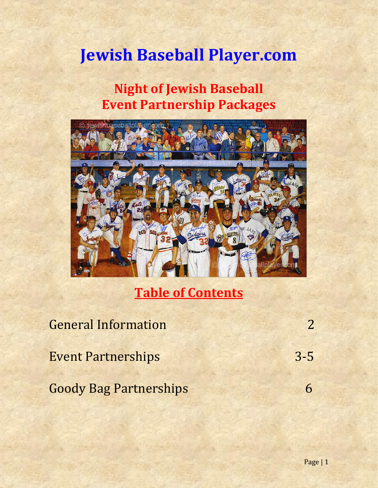# **Jewish Baseball Player.com**

## **Night of Jewish Baseball Event Partnership Packages**



**Table of Contents**

| <b>General Information</b>    |         |
|-------------------------------|---------|
| <b>Event Partnerships</b>     | $3 - 5$ |
| <b>Goody Bag Partnerships</b> |         |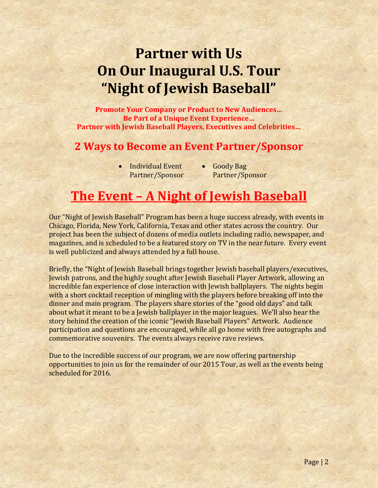# **Partner with Us On Our Inaugural U.S. Tour "Night of Jewish Baseball"**

**Promote Your Company or Product to New Audiences… Be Part of a Unique Event Experience… Partner with Jewish Baseball Players, Executives and Celebrities…**

### **2 Ways to Become an Event Partner/Sponsor**

- Individual Event Partner/Sponsor
- Goody Bag Partner/Sponsor

## **The Event – A Night of Jewish Baseball**

Our "Night of Jewish Baseball" Program has been a huge success already, with events in Chicago, Florida, New York, California, Texas and other states across the country. Our project has been the subject of dozens of media outlets including radio, newspaper, and magazines, and is scheduled to be a featured story on TV in the near future. Every event is well publicized and always attended by a full house.

Briefly, the "Night of Jewish Baseball brings together Jewish baseball players/executives, Jewish patrons, and the highly sought after Jewish Baseball Player Artwork, allowing an incredible fan experience of close interaction with Jewish ballplayers. The nights begin with a short cocktail reception of mingling with the players before breaking off into the dinner and main program. The players share stories of the "good old days" and talk about what it meant to be a Jewish ballplayer in the major leagues. We'll also hear the story behind the creation of the iconic "Jewish Baseball Players" Artwork. Audience participation and questions are encouraged, while all go home with free autographs and commemorative souvenirs. The events always receive rave reviews.

Due to the incredible success of our program, we are now offering partnership opportunities to join us for the remainder of our 2015 Tour, as well as the events being scheduled for 2016.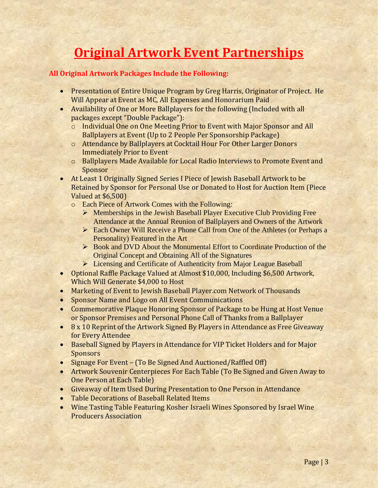## **Original Artwork Event Partnerships**

### **All Original Artwork Packages Include the Following:**

- Presentation of Entire Unique Program by Greg Harris, Originator of Project. He Will Appear at Event as MC, All Expenses and Honorarium Paid
- Availability of One or More Ballplayers for the following (Included with all packages except "Double Package"):
	- o Individual One on One Meeting Prior to Event with Major Sponsor and All Ballplayers at Event (Up to 2 People Per Sponsorship Package)
	- o Attendance by Ballplayers at Cocktail Hour For Other Larger Donors Immediately Prior to Event
	- o Ballplayers Made Available for Local Radio Interviews to Promote Event and Sponsor
- At Least 1 Originally Signed Series I Piece of Jewish Baseball Artwork to be Retained by Sponsor for Personal Use or Donated to Host for Auction Item (Piece Valued at \$6,500)
	- o Each Piece of Artwork Comes with the Following:
		- Memberships in the Jewish Baseball Player Executive Club Providing Free Attendance at the Annual Reunion of Ballplayers and Owners of the Artwork
		- Each Owner Will Receive a Phone Call from One of the Athletes (or Perhaps a Personality) Featured in the Art
		- ▶ Book and DVD About the Monumental Effort to Coordinate Production of the Original Concept and Obtaining All of the Signatures
		- > Licensing and Certificate of Authenticity from Major League Baseball
- Optional Raffle Package Valued at Almost \$10,000, Including \$6,500 Artwork, Which Will Generate \$4,000 to Host
- Marketing of Event to Jewish Baseball Player.com Network of Thousands
- Sponsor Name and Logo on All Event Communications
- Commemorative Plaque Honoring Sponsor of Package to be Hung at Host Venue or Sponsor Premises and Personal Phone Call of Thanks from a Ballplayer
- 8 x 10 Reprint of the Artwork Signed By Players in Attendance as Free Giveaway for Every Attendee
- Baseball Signed by Players in Attendance for VIP Ticket Holders and for Major **Sponsors**
- Signage For Event (To Be Signed And Auctioned/Raffled Off)
- Artwork Souvenir Centerpieces For Each Table (To Be Signed and Given Away to One Person at Each Table)
- Giveaway of Item Used During Presentation to One Person in Attendance
- Table Decorations of Baseball Related Items
- Wine Tasting Table Featuring Kosher Israeli Wines Sponsored by Israel Wine Producers Association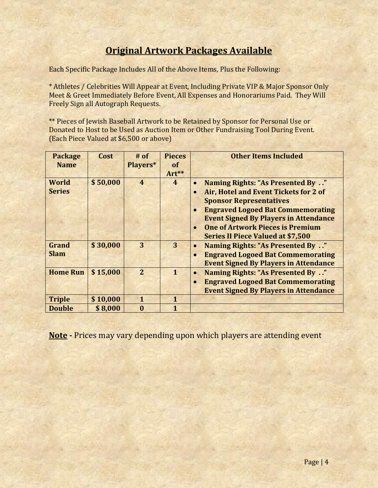### **Original Artwork Packages Available**

Each Specific Package Includes All of the Above Items, Plus the Following:

\* Athletes / Celebrities Will Appear at Event, Including Private VIP & Major Sponsor Only Meet & Greet Immediately Before Event, All Expenses and Honorariums Paid. They Will Freely Sign all Autograph Requests.

\*\* Pieces of Jewish Baseball Artwork to be Retained by Sponsor for Personal Use or Donated to Host to be Used as Auction Item or Other Fundraising Tool During Event. (Each Piece Valued at \$6,500 or above)

| <b>Package</b>  | Cost     | $#$ of         | <b>Pieces</b>  | <b>Other Items Included</b>                           |
|-----------------|----------|----------------|----------------|-------------------------------------------------------|
| <b>Name</b>     |          | Players*       | of             |                                                       |
|                 |          |                | Art**          |                                                       |
| <b>World</b>    | \$50,000 | $\overline{4}$ | $\overline{4}$ | Naming Rights: "As Presented By "                     |
| <b>Series</b>   |          |                |                | Air, Hotel and Event Tickets for 2 of                 |
|                 |          |                |                | <b>Sponsor Representatives</b>                        |
|                 |          |                |                | <b>Engraved Logoed Bat Commemorating</b><br>$\bullet$ |
|                 |          |                |                | <b>Event Signed By Players in Attendance</b>          |
|                 |          |                |                | <b>One of Artwork Pieces is Premium</b>               |
|                 |          |                |                | <b>Series II Piece Valued at \$7,500</b>              |
| <b>Grand</b>    | \$30,000 | 3              | 3              | <b>Naming Rights: "As Presented By"</b><br>$\bullet$  |
| <b>Slam</b>     |          |                |                | <b>Engraved Logoed Bat Commemorating</b><br>$\bullet$ |
|                 |          |                |                | <b>Event Signed By Players in Attendance</b>          |
| <b>Home Run</b> | \$15,000 | $\overline{2}$ | $\mathbf{1}$   | Naming Rights: "As Presented By "<br>$\bullet$        |
|                 |          |                |                | <b>Engraved Logoed Bat Commemorating</b><br>$\bullet$ |
|                 |          |                |                | <b>Event Signed By Players in Attendance</b>          |
| <b>Triple</b>   | \$10,000 | $\mathbf{1}$   | $\mathbf{1}$   |                                                       |
| <b>Double</b>   | \$8,000  | $\bf{0}$       | 1              |                                                       |

**Note -** Prices may vary depending upon which players are attending event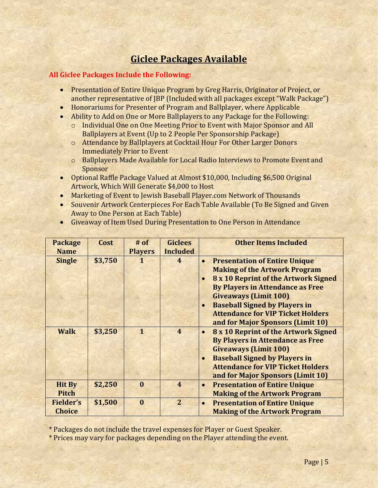### **Giclee Packages Available**

#### **All Giclee Packages Include the Following:**

- Presentation of Entire Unique Program by Greg Harris, Originator of Project, or another representative of JBP (Included with all packages except "Walk Package")
- Honorariums for Presenter of Program and Ballplayer, where Applicable
- Ability to Add on One or More Ballplayers to any Package for the Following:
	- o Individual One on One Meeting Prior to Event with Major Sponsor and All Ballplayers at Event (Up to 2 People Per Sponsorship Package)
	- o Attendance by Ballplayers at Cocktail Hour For Other Larger Donors Immediately Prior to Event
	- o Ballplayers Made Available for Local Radio Interviews to Promote Event and Sponsor
- Optional Raffle Package Valued at Almost \$10,000, Including \$6,500 Original Artwork, Which Will Generate \$4,000 to Host
- Marketing of Event to Jewish Baseball Player.com Network of Thousands
- Souvenir Artwork Centerpieces For Each Table Available (To Be Signed and Given Away to One Person at Each Table)

|  |  |  |  | Giveaway of Item Used During Presentation to One Person in Attendance |
|--|--|--|--|-----------------------------------------------------------------------|
|  |  |  |  |                                                                       |

| <b>Package</b>                    | Cost    | $#$ of         | <b>Giclees</b>         | <b>Other Items Included</b>                                                                                                                                                                                                                                                                                                                                     |
|-----------------------------------|---------|----------------|------------------------|-----------------------------------------------------------------------------------------------------------------------------------------------------------------------------------------------------------------------------------------------------------------------------------------------------------------------------------------------------------------|
| <b>Name</b>                       |         | <b>Players</b> | <b>Included</b>        |                                                                                                                                                                                                                                                                                                                                                                 |
| <b>Single</b>                     | \$3,750 |                | $\overline{4}$         | <b>Presentation of Entire Unique</b><br>$\bullet$<br><b>Making of the Artwork Program</b><br>8 x 10 Reprint of the Artwork Signed<br>$\bullet$<br><b>By Players in Attendance as Free</b><br><b>Giveaways (Limit 100)</b><br><b>Baseball Signed by Players in</b><br>$\bullet$<br><b>Attendance for VIP Ticket Holders</b><br>and for Major Sponsors (Limit 10) |
| <b>Walk</b>                       | \$3,250 | $\mathbf{1}$   | $\boldsymbol{\Lambda}$ | 8 x 10 Reprint of the Artwork Signed<br>$\bullet$<br><b>By Players in Attendance as Free</b><br><b>Giveaways (Limit 100)</b><br><b>Baseball Signed by Players in</b><br>$\bullet$<br><b>Attendance for VIP Ticket Holders</b><br>and for Major Sponsors (Limit 10)                                                                                              |
| <b>Hit By</b><br><b>Pitch</b>     | \$2,250 | $\bf{0}$       | $\overline{4}$         | <b>Presentation of Entire Unique</b><br>$\bullet$<br><b>Making of the Artwork Program</b>                                                                                                                                                                                                                                                                       |
| <b>Fielder's</b><br><b>Choice</b> | \$1,500 | $\bf{0}$       | $\overline{2}$         | <b>Presentation of Entire Unique</b><br>$\bullet$<br><b>Making of the Artwork Program</b>                                                                                                                                                                                                                                                                       |

\* Packages do not include the travel expenses for Player or Guest Speaker.

\* Prices may vary for packages depending on the Player attending the event.